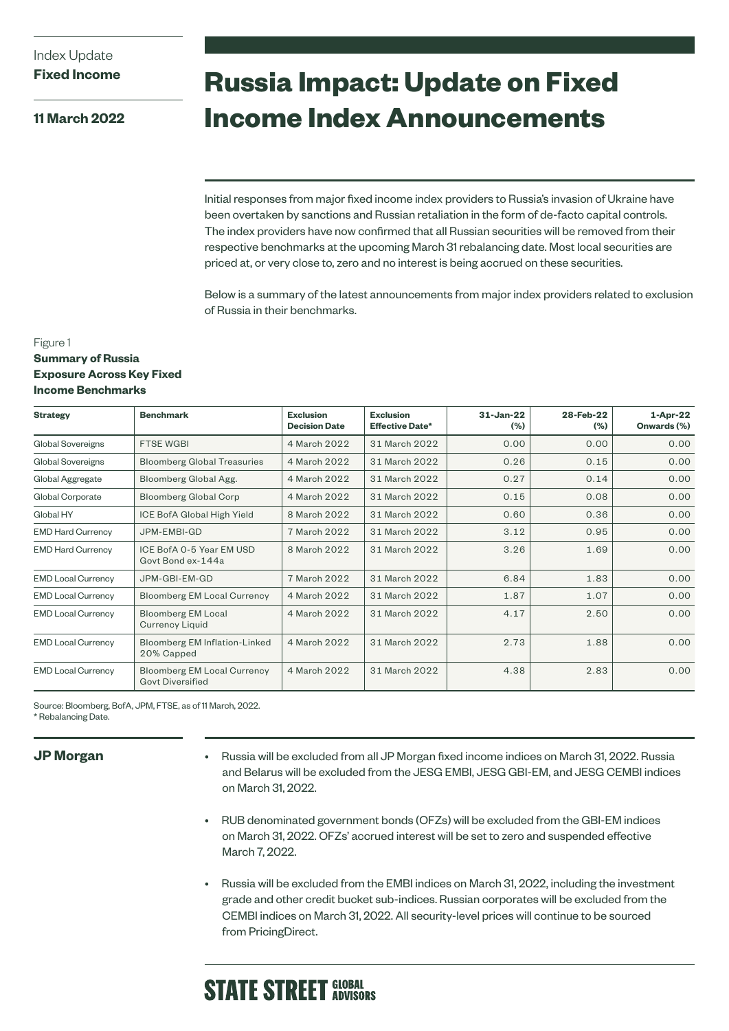**11 March 2022**

# **Russia Impact: Update on Fixed Income Index Announcements**

Initial responses from major fixed income index providers to Russia's invasion of Ukraine have been overtaken by sanctions and Russian retaliation in the form of de-facto capital controls. The index providers have now confirmed that all Russian securities will be removed from their respective benchmarks at the upcoming March 31 rebalancing date. Most local securities are priced at, or very close to, zero and no interest is being accrued on these securities.

Below is a summary of the latest announcements from major index providers related to exclusion of Russia in their benchmarks.

### Figure 1

### **Summary of Russia Exposure Across Key Fixed Income Benchmarks**

| <b>Strategy</b>           | <b>Benchmark</b>                                              | <b>Exclusion</b><br><b>Decision Date</b> | <b>Exclusion</b><br><b>Effective Date*</b> | $31 - Jan-22$<br>(%) | 28-Feb-22<br>$(\% )$ | $1-Apr-22$<br>Onwards (%) |
|---------------------------|---------------------------------------------------------------|------------------------------------------|--------------------------------------------|----------------------|----------------------|---------------------------|
| Global Sovereigns         | <b>FTSE WGBI</b>                                              | 4 March 2022                             | 31 March 2022                              | 0.00                 | 0.00                 | 0.00                      |
| Global Sovereigns         | <b>Bloomberg Global Treasuries</b>                            | 4 March 2022                             | 31 March 2022                              | 0.26                 | 0.15                 | 0.00                      |
| Global Aggregate          | Bloomberg Global Agg.                                         | 4 March 2022                             | 31 March 2022                              | 0.27                 | 0.14                 | 0.00                      |
| Global Corporate          | <b>Bloomberg Global Corp</b>                                  | 4 March 2022                             | 31 March 2022                              | 0.15                 | 0.08                 | 0.00                      |
| Global HY                 | ICE BofA Global High Yield                                    | 8 March 2022                             | 31 March 2022                              | 0.60                 | 0.36                 | 0.00                      |
| <b>EMD Hard Currency</b>  | JPM-EMBI-GD                                                   | 7 March 2022                             | 31 March 2022                              | 3.12                 | 0.95                 | 0.00                      |
| <b>EMD Hard Currency</b>  | ICE BofA 0-5 Year EM USD<br>Govt Bond ex-144a                 | 8 March 2022                             | 31 March 2022                              | 3.26                 | 1.69                 | 0.00                      |
| <b>EMD Local Currency</b> | JPM-GBI-EM-GD                                                 | 7 March 2022                             | 31 March 2022                              | 6.84                 | 1.83                 | 0.00                      |
| <b>EMD Local Currency</b> | <b>Bloomberg EM Local Currency</b>                            | 4 March 2022                             | 31 March 2022                              | 1.87                 | 1.07                 | 0.00                      |
| <b>EMD Local Currency</b> | <b>Bloomberg EM Local</b><br><b>Currency Liquid</b>           | 4 March 2022                             | 31 March 2022                              | 4.17                 | 2.50                 | 0.00                      |
| <b>EMD Local Currency</b> | <b>Bloomberg EM Inflation-Linked</b><br>20% Capped            | 4 March 2022                             | 31 March 2022                              | 2.73                 | 1.88                 | 0.00                      |
| <b>EMD Local Currency</b> | <b>Bloomberg EM Local Currency</b><br><b>Govt Diversified</b> | 4 March 2022                             | 31 March 2022                              | 4.38                 | 2.83                 | 0.00                      |

Source: Bloomberg, BofA, JPM, FTSE, as of 11 March, 2022.

\* Rebalancing Date.

## **JP Morgan**

• Russia will be excluded from all JP Morgan fixed income indices on March 31, 2022. Russia and Belarus will be excluded from the JESG EMBI, JESG GBI-EM, and JESG CEMBI indices on March 31, 2022.

- RUB denominated government bonds (OFZs) will be excluded from the GBI-EM indices on March 31, 2022. OFZs' accrued interest will be set to zero and suspended effective March 7, 2022.
- Russia will be excluded from the EMBI indices on March 31, 2022, including the investment grade and other credit bucket sub-indices. Russian corporates will be excluded from the CEMBI indices on March 31, 2022. All security-level prices will continue to be sourced from PricingDirect.

## **STATE STREET GLOBAL**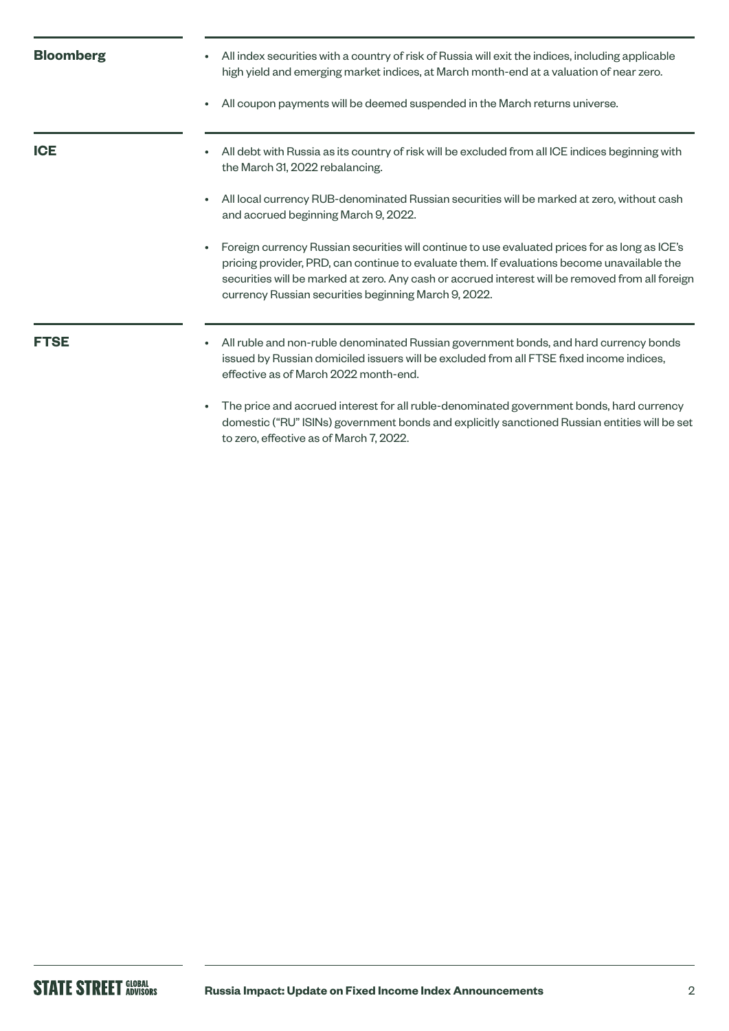| <b>Bloomberg</b> | All index securities with a country of risk of Russia will exit the indices, including applicable<br>high yield and emerging market indices, at March month-end at a valuation of near zero.<br>All coupon payments will be deemed suspended in the March returns universe.                                                                                            |
|------------------|------------------------------------------------------------------------------------------------------------------------------------------------------------------------------------------------------------------------------------------------------------------------------------------------------------------------------------------------------------------------|
| <b>ICE</b>       | All debt with Russia as its country of risk will be excluded from all ICE indices beginning with<br>$\bullet$<br>the March 31, 2022 rebalancing.                                                                                                                                                                                                                       |
|                  | All local currency RUB-denominated Russian securities will be marked at zero, without cash<br>$\bullet$<br>and accrued beginning March 9, 2022.                                                                                                                                                                                                                        |
|                  | Foreign currency Russian securities will continue to use evaluated prices for as long as ICE's<br>$\bullet$<br>pricing provider, PRD, can continue to evaluate them. If evaluations become unavailable the<br>securities will be marked at zero. Any cash or accrued interest will be removed from all foreign<br>currency Russian securities beginning March 9, 2022. |
| <b>FTSE</b>      | All ruble and non-ruble denominated Russian government bonds, and hard currency bonds<br>٠<br>issued by Russian domiciled issuers will be excluded from all FTSE fixed income indices,<br>effective as of March 2022 month-end.                                                                                                                                        |
|                  | The price and accrued interest for all ruble-denominated government bonds, hard currency<br>domestic ("RU" ISINs) government bonds and explicitly sanctioned Russian entities will be set                                                                                                                                                                              |

to zero, effective as of March 7, 2022.